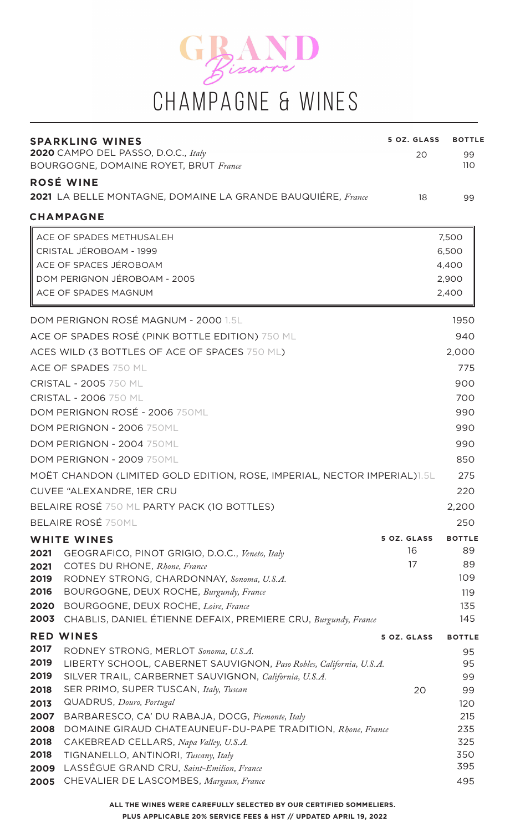

| <b>SPARKLING WINES</b><br>2020 CAMPO DEL PASSO, D.O.C., Italy                                                                        | 5 OZ. GLASS | <b>BOTTLE</b> |
|--------------------------------------------------------------------------------------------------------------------------------------|-------------|---------------|
| <b>BOURGOGNE, DOMAINE ROYET, BRUT France</b>                                                                                         | 20          | 99<br>110     |
| ROSÉ WINE                                                                                                                            |             |               |
| <b>2021</b> LA BELLE MONTAGNE, DOMAINE LA GRANDE BAUQUIÉRE, France                                                                   | 18          | 99            |
| <b>CHAMPAGNE</b>                                                                                                                     |             |               |
| ACE OF SPADES METHUSALEH                                                                                                             |             | 7,500         |
| CRISTAL JÉROBOAM - 1999                                                                                                              |             | 6,500         |
| ACE OF SPACES JÉROBOAM                                                                                                               |             | 4,400         |
| DOM PERIGNON JÉROBOAM - 2005                                                                                                         |             | 2,900         |
| ACE OF SPADES MAGNUM                                                                                                                 |             | 2,400         |
| DOM PERIGNON ROSÉ MAGNUM - 2000 1.5L                                                                                                 |             | 1950          |
| ACE OF SPADES ROSÉ (PINK BOTTLE EDITION) 750 ML                                                                                      |             | 940           |
| ACES WILD (3 BOTTLES OF ACE OF SPACES 750 ML)                                                                                        |             | 2,000         |
| ACE OF SPADES 750 ML                                                                                                                 |             | 775           |
| <b>CRISTAL - 2005 750 ML</b>                                                                                                         |             | 900           |
| CRISTAL - 2006 750 ML                                                                                                                |             | 700           |
| DOM PERIGNON ROSÉ - 2006 750ML                                                                                                       |             | 990           |
| DOM PERIGNON - 2006 750ML                                                                                                            |             | 990           |
| DOM PERIGNON - 2004 750ML                                                                                                            |             | 990           |
| DOM PERIGNON - 2009 750ML                                                                                                            |             | 850           |
| MOËT CHANDON (LIMITED GOLD EDITION, ROSE, IMPERIAL, NECTOR IMPERIAL)1.5L                                                             |             | 275           |
| CUVEE "ALEXANDRE, 1ER CRU                                                                                                            |             | 220           |
| BELAIRE ROSÉ 750 ML PARTY PACK (10 BOTTLES)                                                                                          |             | 2,200         |
| <b>BELAIRE ROSÉ 750ML</b>                                                                                                            |             | 250           |
| <b>WHITE WINES</b>                                                                                                                   | 5 OZ. GLASS | <b>BOTTLE</b> |
| 2021<br>GEOGRAFICO, PINOT GRIGIO, D.O.C., Veneto, Italy                                                                              | 16          | 89            |
| COTES DU RHONE, Rhone, France<br>2021                                                                                                | 17          | 89            |
| 2019<br>RODNEY STRONG, CHARDONNAY, Sonoma, U.S.A.                                                                                    |             | 109           |
| 2016<br>BOURGOGNE, DEUX ROCHE, Burgundy, France                                                                                      |             | 119           |
| 2020<br>BOURGOGNE, DEUX ROCHE, Loire, France                                                                                         |             | 135           |
| CHABLIS, DANIEL ÉTIENNE DEFAIX, PREMIERE CRU, Burgundy, France<br>2003                                                               |             | 145           |
| <b>RED WINES</b>                                                                                                                     | 5 OZ. GLASS | <b>BOTTLE</b> |
| 2017<br>RODNEY STRONG, MERLOT Sonoma, U.S.A.<br>2019                                                                                 |             | 95            |
| LIBERTY SCHOOL, CABERNET SAUVIGNON, Paso Robles, California, U.S.A.<br>2019<br>SILVER TRAIL, CARBERNET SAUVIGNON, California, U.S.A. |             | 95<br>99      |
| 2018<br>SER PRIMO, SUPER TUSCAN, Italy, Tuscan                                                                                       | 20          | 99            |
| QUADRUS, Douro, Portugal<br>2013                                                                                                     |             | 120           |
| 2007<br>BARBARESCO, CA' DU RABAJA, DOCG, Piemonte, Italy                                                                             |             | 215           |
| 2008<br>DOMAINE GIRAUD CHATEAUNEUF-DU-PAPE TRADITION, Rhone, France                                                                  |             | 235           |
| 2018<br>CAKEBREAD CELLARS, Napa Valley, U.S.A.                                                                                       |             | 325           |
| 2018<br>TIGNANELLO, ANTINORI, Tuscany, Italy                                                                                         |             | 350           |
| LASSÉGUE GRAND CRU, Saint-Emilion, France<br>2009<br>CHEVALIER DE LASCOMBES, Margaux, France                                         |             | 395<br>495    |
| 2005                                                                                                                                 |             |               |

**ALL THE WINES WERE CAREFULLY SELECTED BY OUR CERTIFIED SOMMELIERS. PLUS APPLICABLE 20% SERVICE FEES & HST // UPDATED APRIL 19, 2022**